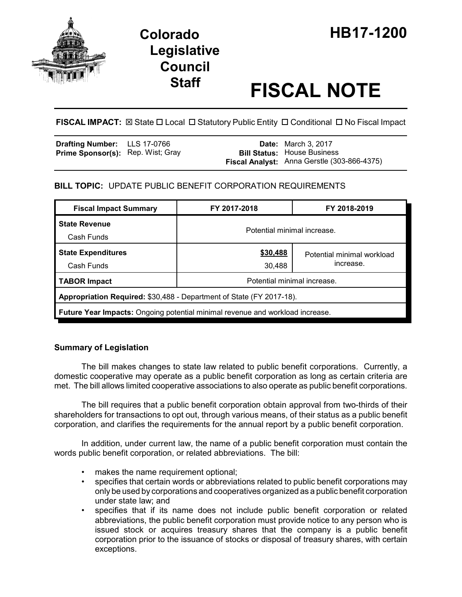

# **Legislative Council**

## **Staff FISCAL NOTE**

#### FISCAL IMPACT:  $\boxtimes$  State  $\Box$  Local  $\Box$  Statutory Public Entity  $\Box$  Conditional  $\Box$  No Fiscal Impact

| Drafting Number: LLS 17-0766             |  | <b>Date:</b> March 3, 2017                  |
|------------------------------------------|--|---------------------------------------------|
| <b>Prime Sponsor(s):</b> Rep. Wist; Gray |  | <b>Bill Status: House Business</b>          |
|                                          |  | Fiscal Analyst: Anna Gerstle (303-866-4375) |

#### **BILL TOPIC:** UPDATE PUBLIC BENEFIT CORPORATION REQUIREMENTS

| <b>Fiscal Impact Summary</b>                                                         | FY 2017-2018                | FY 2018-2019                            |  |  |  |
|--------------------------------------------------------------------------------------|-----------------------------|-----------------------------------------|--|--|--|
| <b>State Revenue</b><br>Cash Funds                                                   | Potential minimal increase. |                                         |  |  |  |
| <b>State Expenditures</b><br>Cash Funds                                              | \$30,488<br>30,488          | Potential minimal workload<br>increase. |  |  |  |
| <b>TABOR Impact</b>                                                                  | Potential minimal increase. |                                         |  |  |  |
| Appropriation Required: \$30,488 - Department of State (FY 2017-18).                 |                             |                                         |  |  |  |
| <b>Future Year Impacts:</b> Ongoing potential minimal revenue and workload increase. |                             |                                         |  |  |  |

#### **Summary of Legislation**

The bill makes changes to state law related to public benefit corporations. Currently, a domestic cooperative may operate as a public benefit corporation as long as certain criteria are met. The bill allows limited cooperative associations to also operate as public benefit corporations.

The bill requires that a public benefit corporation obtain approval from two-thirds of their shareholders for transactions to opt out, through various means, of their status as a public benefit corporation, and clarifies the requirements for the annual report by a public benefit corporation.

In addition, under current law, the name of a public benefit corporation must contain the words public benefit corporation, or related abbreviations. The bill:

- makes the name requirement optional;
- specifies that certain words or abbreviations related to public benefit corporations may only be used by corporations and cooperatives organized as a public benefit corporation under state law; and
- specifies that if its name does not include public benefit corporation or related abbreviations, the public benefit corporation must provide notice to any person who is issued stock or acquires treasury shares that the company is a public benefit corporation prior to the issuance of stocks or disposal of treasury shares, with certain exceptions.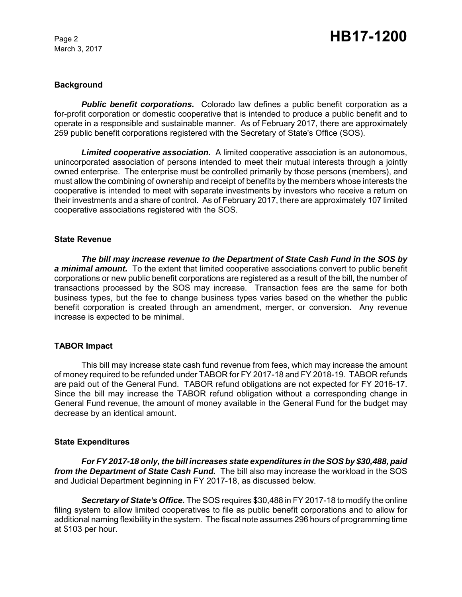March 3, 2017

### Page 2 **HB17-1200**

#### **Background**

*Public benefit corporations.* Colorado law defines a public benefit corporation as a for-profit corporation or domestic cooperative that is intended to produce a public benefit and to operate in a responsible and sustainable manner. As of February 2017, there are approximately 259 public benefit corporations registered with the Secretary of State's Office (SOS).

*Limited cooperative association.* A limited cooperative association is an autonomous, unincorporated association of persons intended to meet their mutual interests through a jointly owned enterprise. The enterprise must be controlled primarily by those persons (members), and must allow the combining of ownership and receipt of benefits by the members whose interests the cooperative is intended to meet with separate investments by investors who receive a return on their investments and a share of control. As of February 2017, there are approximately 107 limited cooperative associations registered with the SOS.

#### **State Revenue**

*The bill may increase revenue to the Department of State Cash Fund in the SOS by a minimal amount.* To the extent that limited cooperative associations convert to public benefit corporations or new public benefit corporations are registered as a result of the bill, the number of transactions processed by the SOS may increase. Transaction fees are the same for both business types, but the fee to change business types varies based on the whether the public benefit corporation is created through an amendment, merger, or conversion. Any revenue increase is expected to be minimal.

#### **TABOR Impact**

This bill may increase state cash fund revenue from fees, which may increase the amount of money required to be refunded under TABOR for FY 2017-18 and FY 2018-19. TABOR refunds are paid out of the General Fund. TABOR refund obligations are not expected for FY 2016-17. Since the bill may increase the TABOR refund obligation without a corresponding change in General Fund revenue, the amount of money available in the General Fund for the budget may decrease by an identical amount.

#### **State Expenditures**

*For FY 2017-18 only, the bill increases state expenditures in the SOS by \$30,488, paid from the Department of State Cash Fund.* The bill also may increase the workload in the SOS and Judicial Department beginning in FY 2017-18, as discussed below.

*Secretary of State's Office.* The SOS requires \$30,488 in FY 2017-18 to modify the online filing system to allow limited cooperatives to file as public benefit corporations and to allow for additional naming flexibility in the system. The fiscal note assumes 296 hours of programming time at \$103 per hour.